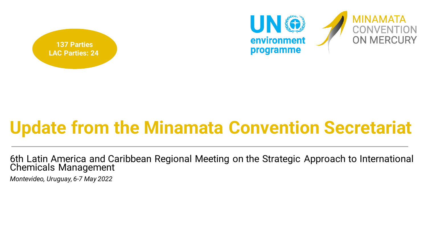



# **Update from the Minamata Convention Secretariat**

6th Latin America and Caribbean Regional Meeting on the Strategic Approach to International Chemicals Management

*Montevideo, Uruguay, 6-7 May 2022*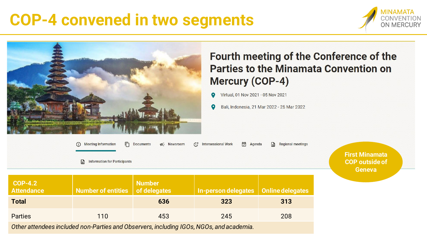# **COP-4 convened in two segments**





### Fourth meeting of the Conference of the **Parties to the Minamata Convention on Mercury (COP-4)**

Virtual, 01 Nov 2021 - 05 Nov 2021

Bali, Indonesia, 21 Mar 2022 - 25 Mar 2022

| <b>Meeting Information</b><br>(i)        | 冋<br><b>Documents</b> | ☆ Newsroom | t Intersessional Work | 岗<br>Agenda | ₿<br><b>Regional meetings</b> |
|------------------------------------------|-----------------------|------------|-----------------------|-------------|-------------------------------|
| G<br><b>Information for Participants</b> |                       |            |                       |             |                               |
|                                          |                       |            |                       |             |                               |

**First Minamata COP outside of Geneva**

| <b>COP-4.2</b><br><b>Attendance</b><br><b>Total</b>                                     | Number of entities of delegates | Number<br>636 | In-person delegates   Online delegates  <br>323 | 313 |
|-----------------------------------------------------------------------------------------|---------------------------------|---------------|-------------------------------------------------|-----|
| <b>Parties</b>                                                                          | 110                             | 453           | 245                                             | 208 |
| Other than deep included non-Deutre and Observance including 100 a MOOs and excelsusive |                                 |               |                                                 |     |

*Other attendees included non-Parties and Observers, including IGOs, NGOs, and academia.*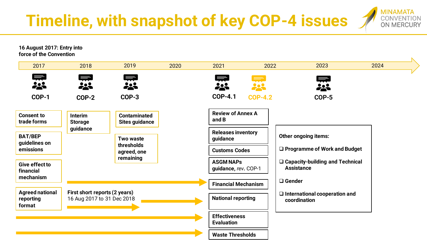**Timeline, with snapshot of key COP-4 issues**



**16 August 2017: Entry into force of the Convention**

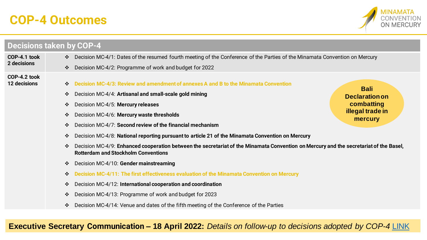### **COP-4 Outcomes**



|                                     | <b>Decisions taken by COP-4</b>                                                                                                                                                                         |                             |
|-------------------------------------|---------------------------------------------------------------------------------------------------------------------------------------------------------------------------------------------------------|-----------------------------|
| COP-4.1 took                        | Decision MC-4/1: Dates of the resumed fourth meeting of the Conference of the Parties of the Minamata Convention on Mercury<br>$\frac{1}{2}$                                                            |                             |
| 2 decisions                         | Decision MC-4/2: Programme of work and budget for 2022<br>$\frac{1}{2}$                                                                                                                                 |                             |
| COP-4.2 took<br><b>12 decisions</b> | Decision MC-4/3: Review and amendment of annexes A and B to the Minamata Convention<br>$\ddot{\cdot}$                                                                                                   | <b>Bali</b>                 |
|                                     | Decision MC-4/4: Artisanal and small-scale gold mining<br>$\ddot{\cdot}$                                                                                                                                | <b>Declaration on</b>       |
|                                     | Decision MC-4/5: Mercury releases<br>$\ddot{\bullet}$                                                                                                                                                   | combatting                  |
|                                     | Decision MC-4/6: Mercury waste thresholds<br>$\ddot{\cdot}$                                                                                                                                             | illegal trade in<br>mercury |
|                                     | Decision MC-4/7: Second review of the financial mechanism<br>$\ddot{\bullet}$                                                                                                                           |                             |
|                                     | Decision MC-4/8: National reporting pursuant to article 21 of the Minamata Convention on Mercury<br>$\frac{1}{2}$                                                                                       |                             |
|                                     | Decision MC-4/9: Enhanced cooperation between the secretariat of the Minamata Convention on Mercury and the secretariat of the Basel,<br>$\ddot{\bullet}$<br><b>Rotterdam and Stockholm Conventions</b> |                             |
|                                     | Decision MC-4/10: Gender mainstreaming<br>$\ddot{\cdot}$                                                                                                                                                |                             |
|                                     | Decision MC-4/11: The first effectiveness evaluation of the Minamata Convention on Mercury<br>$\ddot{\cdot}$                                                                                            |                             |
|                                     | Decision MC-4/12: International cooperation and coordination<br>$\ddot{\bullet}$                                                                                                                        |                             |
|                                     | Decision MC-4/13: Programme of work and budget for 2023<br>$\ddot{\cdot}$                                                                                                                               |                             |
|                                     | Decision MC-4/14: Venue and dates of the fifth meeting of the Conference of the Parties<br>$\frac{1}{2}$                                                                                                |                             |

**Executive Secretary Communication – 18 April 2022:** *Details on follow-up to decisions adopted by COP-4* [LINK](https://www.mercuryconvention.org/sites/default/files/documents/2022-04/ES_COP-4.2_follow_up_letter.pdf)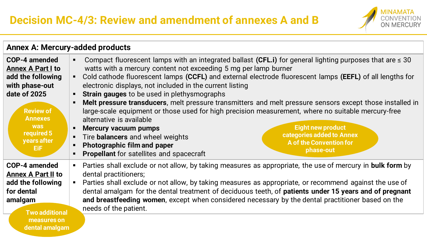

|                                                                                                                                                                                                  | <b>Annex A: Mercury-added products</b>                                                                                                                                                                                                                                                                                                                                                                                                                                                                                                                                                                                                                                                                                                                                                                                                                                                                                                   |
|--------------------------------------------------------------------------------------------------------------------------------------------------------------------------------------------------|------------------------------------------------------------------------------------------------------------------------------------------------------------------------------------------------------------------------------------------------------------------------------------------------------------------------------------------------------------------------------------------------------------------------------------------------------------------------------------------------------------------------------------------------------------------------------------------------------------------------------------------------------------------------------------------------------------------------------------------------------------------------------------------------------------------------------------------------------------------------------------------------------------------------------------------|
| <b>COP-4 amended</b><br><b>Annex A Part I to</b><br>add the following<br>with phase-out<br>date of 2025<br><b>Review of</b><br><b>Annexes</b><br><b>was</b><br>required 5<br>years after<br>EiF. | Compact fluorescent lamps with an integrated ballast (CFL.i) for general lighting purposes that are $\leq 30$<br>watts with a mercury content not exceeding 5 mg per lamp burner<br>Cold cathode fluorescent lamps (CCFL) and external electrode fluorescent lamps (EEFL) of all lengths for<br>electronic displays, not included in the current listing<br><b>Strain gauges</b> to be used in plethysmographs<br>Melt pressure transducers, melt pressure transmitters and melt pressure sensors except those installed in<br>large-scale equipment or those used for high precision measurement, where no suitable mercury-free<br>alternative is available<br><b>Eight new product</b><br><b>Mercury vacuum pumps</b><br>categories added to Annex<br>Tire <b>balancers</b> and wheel weights<br><b>A of the Convention for</b><br><b>Photographic film and paper</b><br>phase-out<br><b>Propellant</b> for satellites and spacecraft |
| COP-4 amended<br><b>Annex A Part II to</b><br>add the following<br>for dental<br>amalgam<br><b>Two additional</b>                                                                                | Parties shall exclude or not allow, by taking measures as appropriate, the use of mercury in <b>bulk form</b> by<br>dental practitioners;<br>Parties shall exclude or not allow, by taking measures as appropriate, or recommend against the use of<br>dental amalgam for the dental treatment of deciduous teeth, of patients under 15 years and of pregnant<br>and breastfeeding women, except when considered necessary by the dental practitioner based on the<br>needs of the patient.                                                                                                                                                                                                                                                                                                                                                                                                                                              |
| measures on<br>dental amalgam                                                                                                                                                                    |                                                                                                                                                                                                                                                                                                                                                                                                                                                                                                                                                                                                                                                                                                                                                                                                                                                                                                                                          |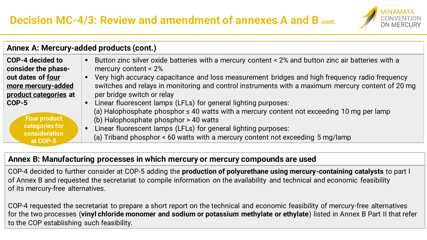

| Annex A: Mercury-added products (cont.)                      |                                                                                                                                                                                                                                                         |  |
|--------------------------------------------------------------|---------------------------------------------------------------------------------------------------------------------------------------------------------------------------------------------------------------------------------------------------------|--|
| COP-4 decided to<br>consider the phase-<br>out dates of four | Button zinc silver oxide batteries with a mercury content < 2% and button zinc air batteries with a<br>Ξ<br>mercury content $< 2\%$<br>Very high accuracy capacitance and loss measurement bridges and high frequency radio frequency<br>$\blacksquare$ |  |
| more mercury-added<br>product categories at                  | switches and relays in monitoring and control instruments with a maximum mercury content of 20 mg<br>per bridge switch or relay                                                                                                                         |  |
| COP-5<br><b>Four product</b>                                 | Linear fluorescent lamps (LFLs) for general lighting purposes:<br>(a) Halophosphate phosphor $\leq 40$ watts with a mercury content not exceeding 10 mg per lamp<br>(b) Halophosphate phosphor > 40 watts                                               |  |
| categories for<br>consideration<br>at COP-5                  | Linear fluorescent lamps (LFLs) for general lighting purposes:<br>$\blacksquare$<br>(a) Triband phosphor < 60 watts with a mercury content not exceeding 5 mg/lamp                                                                                      |  |

#### **Annex B: Manufacturing processes in which mercury or mercury compounds are used**

COP-4 decided to further consider at COP-5 adding the **production of polyurethane using mercury-containing catalysts** to part I of Annex B and requested the secretariat to compile information on the availability and technical and economic feasibility of its mercury-free alternatives.

COP-4 requested the secretariat to prepare a short report on the technical and economic feasibility of mercury-free alternatives for the two processes (**vinyl chloride monomer and sodium or potassium methylate or ethylate**) listed in Annex B Part II that refer to the COP establishing such feasibility.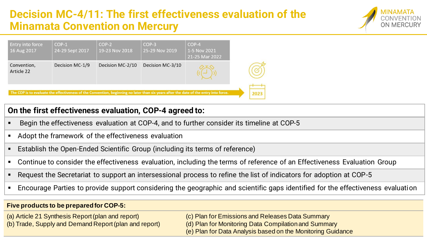### **Decision MC-4/11: The first effectiveness evaluation of the Minamata Convention on Mercury**





#### **On the first effectiveness evaluation, COP-4 agreed to:**

- Begin the effectiveness evaluation at COP-4, and to further consider its timeline at COP-5
- Adopt the framework of the effectiveness evaluation
- Establish the Open-Ended Scientific Group (including its terms of reference)
- Continue to consider the effectiveness evaluation, including the terms of reference of an Effectiveness Evaluation Group
- Request the Secretariat to support an intersessional process to refine the list of indicators for adoption at COP-5
- **Encourage Parties to provide support considering the geographic and scientific gaps identified for the effectiveness evaluation**

#### **Five products to be prepared for COP-5:**

(a) Article 21 Synthesis Report (plan and report) (b) Trade, Supply and Demand Report (plan and report)

- (c) Plan for Emissions and Releases Data Summary
- (d) Plan for Monitoring Data Compilation and Summary
- (e) Plan for Data Analysis based on the Monitoring Guidance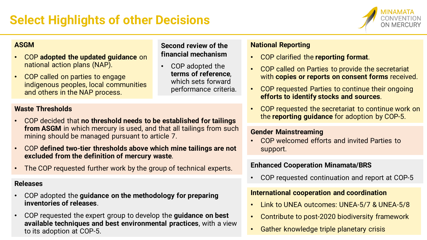

#### **ASGM**

- COP **adopted the updated guidance** on national action plans (NAP).
- COP called on parties to engage indigenous peoples, local communities and others in the NAP process.

#### **Waste Thresholds**

- COP decided that **no threshold needs to be established for tailings from ASGM** in which mercury is used, and that all tailings from such mining should be managed pursuant to article 7.
- COP **defined two-tier thresholds above which mine tailings are not excluded from the definition of mercury waste**.
- The COP requested further work by the group of technical experts.

#### **Releases**

- COP adopted the **guidance on the methodology for preparing inventories of releases**.
- COP requested the expert group to develop the **guidance on best available techniques and best environmental practices**, with a view to its adoption at COP-5.

#### **Second review of the financial mechanism**

• COP adopted the **terms of reference**, which sets forward performance criteria.

#### **National Reporting**

- COP clarified the **reporting format**.
- COP called on Parties to provide the secretariat with **copies or reports on consent forms** received.
- COP requested Parties to continue their ongoing **efforts to identify stocks and sources**.
- COP requested the secretariat to continue work on the **reporting guidance** for adoption by COP-5.

#### **Gender Mainstreaming**

• COP welcomed efforts and invited Parties to support.

#### **Enhanced Cooperation Minamata/BRS**

• COP requested continuation and report at COP-5

#### **International cooperation and coordination**

- Link to UNEA outcomes: UNEA-5/7 & UNEA-5/8
- Contribute to post-2020 biodiversity framework
- Gather knowledge triple planetary crisis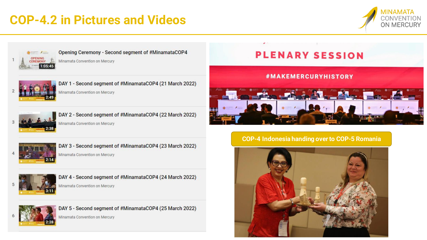### **COP-4.2 in Pictures and Videos**





#### Opening Ceremony - Second segment of #MinamataCOP4

Minamata Convention on Mercury



DAY 1 - Second segment of #MinamataCOP4 (21 March 2022) Minamata Convention on Mercury



DAY 2 - Second segment of #MinamataCOP4 (22 March 2022) Minamata Convention on Mercury



#### **#MAKEMERCURYHISTORY**





DAY 3 - Second segment of #MinamataCOP4 (23 March 2022) Minamata Convention on Mercury



DAY 4 - Second segment of #MinamataCOP4 (24 March 2022) Minamata Convention on Mercury



DAY 5 - Second segment of #MinamataCOP4 (25 March 2022)

Minamata Convention on Mercury

#### **COP-4 Indonesia handing over to COP-5 Romania**

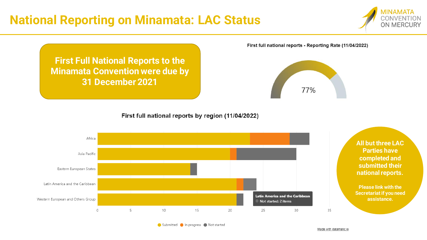### **National Reporting on Minamata: LAC Status**

**Minamata Convention were due by** 

**31 December 2021**



**First Full National Reports to the** 

77%

First full national reports - Reporting Rate (11/04/2022)

First full national reports by region (11/04/2022)



Submitted In progress Not started

Made with datamatic.io